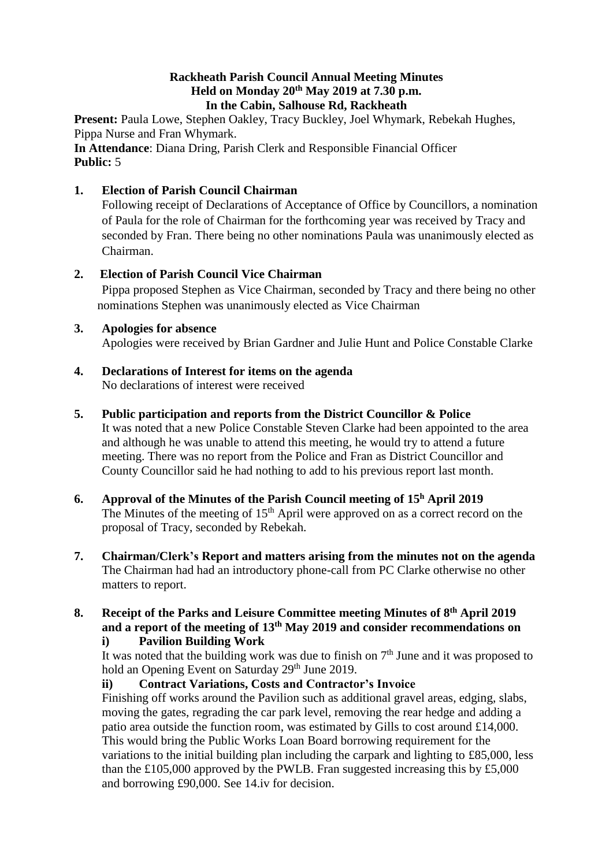### **Rackheath Parish Council Annual Meeting Minutes Held on Monday 20 th May 2019 at 7.30 p.m. In the Cabin, Salhouse Rd, Rackheath**

**Present:** Paula Lowe, Stephen Oakley, Tracy Buckley, Joel Whymark, Rebekah Hughes, Pippa Nurse and Fran Whymark.

**In Attendance**: Diana Dring, Parish Clerk and Responsible Financial Officer **Public:** 5

### **1. Election of Parish Council Chairman**

Following receipt of Declarations of Acceptance of Office by Councillors, a nomination of Paula for the role of Chairman for the forthcoming year was received by Tracy and seconded by Fran. There being no other nominations Paula was unanimously elected as Chairman.

## **2. Election of Parish Council Vice Chairman**

Pippa proposed Stephen as Vice Chairman, seconded by Tracy and there being no other nominations Stephen was unanimously elected as Vice Chairman

### **3. Apologies for absence**

Apologies were received by Brian Gardner and Julie Hunt and Police Constable Clarke

### **4. Declarations of Interest for items on the agenda** No declarations of interest were received

**5. Public participation and reports from the District Councillor & Police**

It was noted that a new Police Constable Steven Clarke had been appointed to the area and although he was unable to attend this meeting, he would try to attend a future meeting. There was no report from the Police and Fran as District Councillor and County Councillor said he had nothing to add to his previous report last month.

- **6. Approval of the Minutes of the Parish Council meeting of 15 <sup>h</sup> April 2019** The Minutes of the meeting of  $15<sup>th</sup>$  April were approved on as a correct record on the proposal of Tracy, seconded by Rebekah.
- **7. Chairman/Clerk's Report and matters arising from the minutes not on the agenda** The Chairman had had an introductory phone-call from PC Clarke otherwise no other matters to report.

## **8. Receipt of the Parks and Leisure Committee meeting Minutes of 8 th April 2019 and a report of the meeting of 13 th May 2019 and consider recommendations on**

### **i) Pavilion Building Work**

It was noted that the building work was due to finish on  $7<sup>th</sup>$  June and it was proposed to hold an Opening Event on Saturday 29<sup>th</sup> June 2019.

# **ii) Contract Variations, Costs and Contractor's Invoice**

Finishing off works around the Pavilion such as additional gravel areas, edging, slabs, moving the gates, regrading the car park level, removing the rear hedge and adding a patio area outside the function room, was estimated by Gills to cost around £14,000. This would bring the Public Works Loan Board borrowing requirement for the variations to the initial building plan including the carpark and lighting to £85,000, less than the £105,000 approved by the PWLB. Fran suggested increasing this by £5,000 and borrowing £90,000. See 14.iv for decision.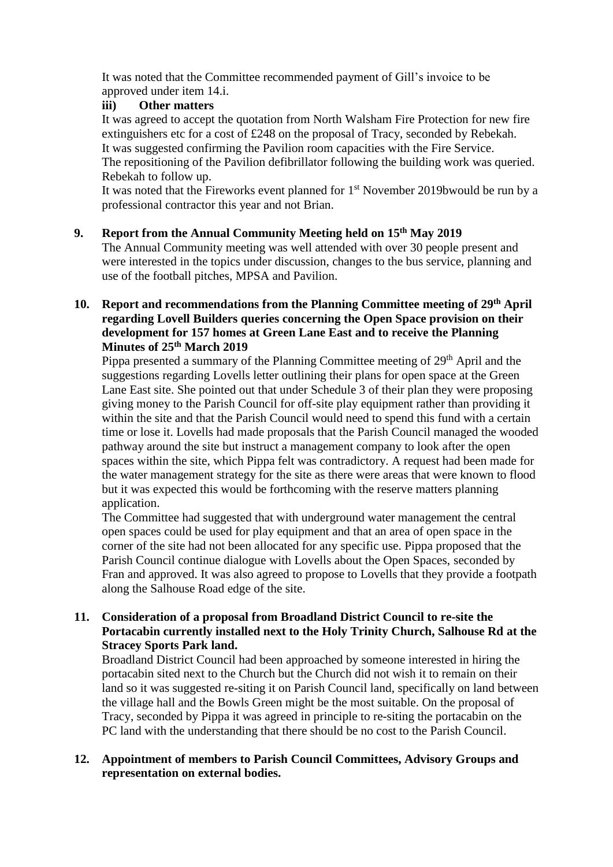It was noted that the Committee recommended payment of Gill's invoice to be approved under item 14.i.

### **iii) Other matters**

It was agreed to accept the quotation from North Walsham Fire Protection for new fire extinguishers etc for a cost of £248 on the proposal of Tracy, seconded by Rebekah. It was suggested confirming the Pavilion room capacities with the Fire Service. The repositioning of the Pavilion defibrillator following the building work was queried. Rebekah to follow up.

It was noted that the Fireworks event planned for 1<sup>st</sup> November 2019bwould be run by a professional contractor this year and not Brian.

### **9. Report from the Annual Community Meeting held on 15 th May 2019**

The Annual Community meeting was well attended with over 30 people present and were interested in the topics under discussion, changes to the bus service, planning and use of the football pitches, MPSA and Pavilion.

### 10. Report and recommendations from the Planning Committee meeting of 29<sup>th</sup> April **regarding Lovell Builders queries concerning the Open Space provision on their development for 157 homes at Green Lane East and to receive the Planning Minutes of 25th March 2019**

Pippa presented a summary of the Planning Committee meeting of 29<sup>th</sup> April and the suggestions regarding Lovells letter outlining their plans for open space at the Green Lane East site. She pointed out that under Schedule 3 of their plan they were proposing giving money to the Parish Council for off-site play equipment rather than providing it within the site and that the Parish Council would need to spend this fund with a certain time or lose it. Lovells had made proposals that the Parish Council managed the wooded pathway around the site but instruct a management company to look after the open spaces within the site, which Pippa felt was contradictory. A request had been made for the water management strategy for the site as there were areas that were known to flood but it was expected this would be forthcoming with the reserve matters planning application.

The Committee had suggested that with underground water management the central open spaces could be used for play equipment and that an area of open space in the corner of the site had not been allocated for any specific use. Pippa proposed that the Parish Council continue dialogue with Lovells about the Open Spaces, seconded by Fran and approved. It was also agreed to propose to Lovells that they provide a footpath along the Salhouse Road edge of the site.

### **11. Consideration of a proposal from Broadland District Council to re-site the Portacabin currently installed next to the Holy Trinity Church, Salhouse Rd at the Stracey Sports Park land.**

Broadland District Council had been approached by someone interested in hiring the portacabin sited next to the Church but the Church did not wish it to remain on their land so it was suggested re-siting it on Parish Council land, specifically on land between the village hall and the Bowls Green might be the most suitable. On the proposal of Tracy, seconded by Pippa it was agreed in principle to re-siting the portacabin on the PC land with the understanding that there should be no cost to the Parish Council.

#### **12. Appointment of members to Parish Council Committees, Advisory Groups and representation on external bodies.**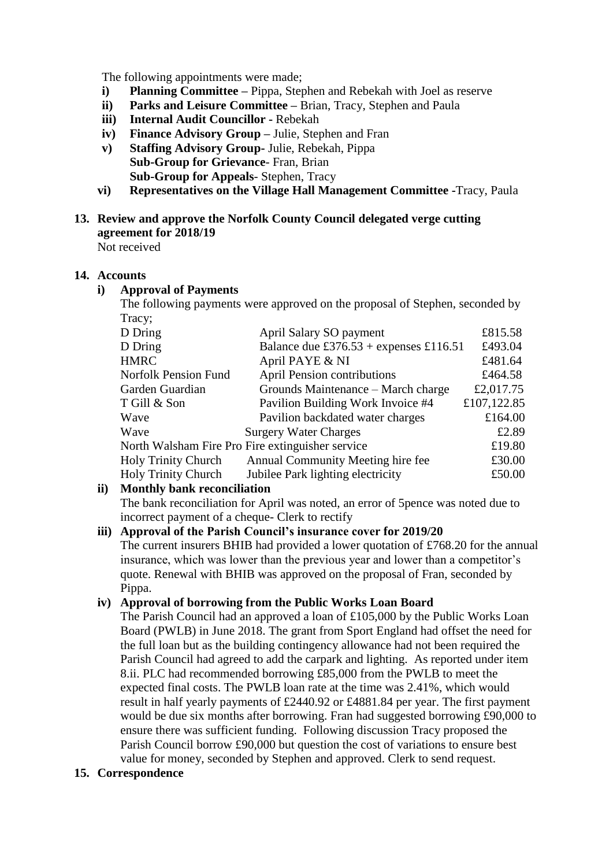The following appointments were made;

- **i) Planning Committee –** Pippa, Stephen and Rebekah with Joel as reserve
- **ii) Parks and Leisure Committee –** Brian, Tracy, Stephen and Paula
- **iii) Internal Audit Councillor -** Rebekah
- **iv) Finance Advisory Group –** Julie, Stephen and Fran
- **v) Staffing Advisory Group-** Julie, Rebekah, Pippa **Sub-Group for Grievance**- Fran, Brian **Sub-Group for Appeals**- Stephen, Tracy
- **vi) Representatives on the Village Hall Management Committee -**Tracy, Paula

#### **13. Review and approve the Norfolk County Council delegated verge cutting agreement for 2018/19** Not received

#### **14. Accounts**

#### **i) Approval of Payments**

The following payments were approved on the proposal of Stephen, seconded by Tracy;

| D Dring                                          | April Salary SO payment                | £815.58     |
|--------------------------------------------------|----------------------------------------|-------------|
| D Dring                                          | Balance due £376.53 + expenses £116.51 | £493.04     |
| <b>HMRC</b>                                      | April PAYE & NI                        | £481.64     |
| <b>Norfolk Pension Fund</b>                      | <b>April Pension contributions</b>     | £464.58     |
| Garden Guardian                                  | Grounds Maintenance – March charge     | £2,017.75   |
| T Gill & Son                                     | Pavilion Building Work Invoice #4      | £107,122.85 |
| Wave                                             | Pavilion backdated water charges       | £164.00     |
| Wave                                             | <b>Surgery Water Charges</b>           | £2.89       |
| North Walsham Fire Pro Fire extinguisher service |                                        | £19.80      |
| <b>Holy Trinity Church</b>                       | Annual Community Meeting hire fee      | £30.00      |
| <b>Holy Trinity Church</b>                       | Jubilee Park lighting electricity      | £50.00      |

### **ii) Monthly bank reconciliation**

The bank reconciliation for April was noted, an error of 5pence was noted due to incorrect payment of a cheque- Clerk to rectify

### **iii) Approval of the Parish Council's insurance cover for 2019/20**

The current insurers BHIB had provided a lower quotation of £768.20 for the annual insurance, which was lower than the previous year and lower than a competitor's quote. Renewal with BHIB was approved on the proposal of Fran, seconded by Pippa.

### **iv) Approval of borrowing from the Public Works Loan Board**

The Parish Council had an approved a loan of £105,000 by the Public Works Loan Board (PWLB) in June 2018. The grant from Sport England had offset the need for the full loan but as the building contingency allowance had not been required the Parish Council had agreed to add the carpark and lighting. As reported under item 8.ii. PLC had recommended borrowing £85,000 from the PWLB to meet the expected final costs. The PWLB loan rate at the time was 2.41%, which would result in half yearly payments of £2440.92 or £4881.84 per year. The first payment would be due six months after borrowing. Fran had suggested borrowing £90,000 to ensure there was sufficient funding. Following discussion Tracy proposed the Parish Council borrow £90,000 but question the cost of variations to ensure best value for money, seconded by Stephen and approved. Clerk to send request.

### **15. Correspondence**